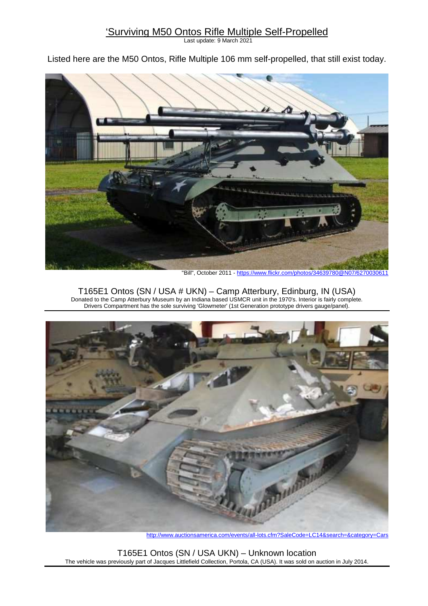## 'Surviving M50 Ontos Rifle Multiple Self-Propelled

Last update: 9 March 2021

Listed here are the M50 Ontos, Rifle Multiple 106 mm self-propelled, that still exist today.



"Bill", October 2011 - https://www.flickr.com/photos/34639780@N07/6270030611

T165E1 Ontos (SN / USA # UKN) – Camp Atterbury, Edinburg, IN (USA) Donated to the Camp Atterbury Museum by an Indiana based USMCR unit in the 1970's. Interior is fairly complete. Drivers Compartment has the sole surviving 'Glowmeter' (1st Generation prototype drivers gauge/panel).



http://www.auctionsamerica.com/events/all-lots.cfm?SaleCode=LC14&search=&category=Cars

T165E1 Ontos (SN / USA UKN) – Unknown location The vehicle was previously part of Jacques Littlefield Collection, Portola, CA (USA). It was sold on auction in July 2014.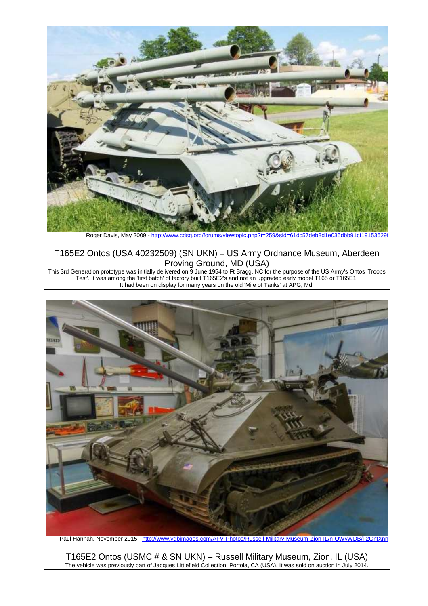

Roger Davis, May 2009 - http://www.cdsg.org/forums/viewtopic.php?t=259&sid=61dc57deb8d1et

### T165E2 Ontos (USA 40232509) (SN UKN) – US Army Ordnance Museum, Aberdeen Proving Ground, MD (USA)

This 3rd Generation prototype was initially delivered on 9 June 1954 to Ft Bragg, NC for the purpose of the US Army's Ontos 'Troops Test'. It was among the 'first batch' of factory built T165E2's and not an upgraded early model T165 or T165E1. It had been on display for many years on the old 'Mile of Tanks' at APG, Md.



Paul Hannah, November 2015 - http://www.vgbimages.com/AFV-Photos/Russell-Military-Museum-Zion-IL/n-QWvWDB/i-2GntXnn

T165E2 Ontos (USMC # & SN UKN) – Russell Military Museum, Zion, IL (USA) The vehicle was previously part of Jacques Littlefield Collection, Portola, CA (USA). It was sold on auction in July 2014.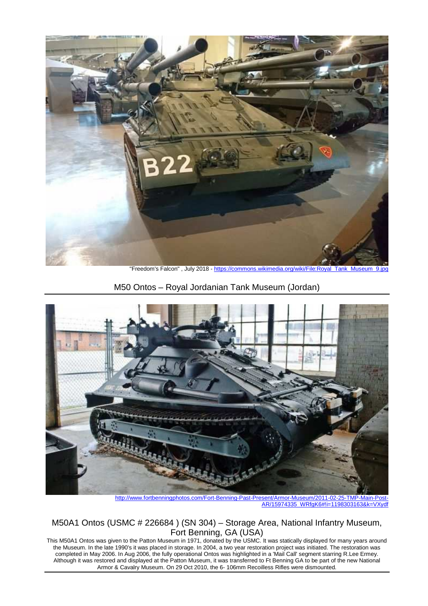

"Freedom's Falcon" , July 2018 - https://commons.wikimedia.org/wiki/File:Royal\_Tank\_Museum\_9.jpg

M50 Ontos – Royal Jordanian Tank Museum (Jordan)



http://www.fortbenningphotos.com/Fort-Benning-Past-Present/Armor-Museum/2011-02-25-TMP-Main-Post-AR/15974335\_WRfgK6#!i=1198303163&k=VXydf

M50A1 Ontos (USMC # 226684 ) (SN 304) – Storage Area, National Infantry Museum, Fort Benning, GA (USA)

This M50A1 Ontos was given to the Patton Museum in 1971, donated by the USMC. It was statically displayed for many years around the Museum. In the late 1990's it was placed in storage. In 2004, a two year restoration project was initiated. The restoration was completed in May 2006. In Aug 2006, the fully operational Ontos was highlighted in a 'Mail Call' segment starring R.Lee Ermey. Although it was restored and displayed at the Patton Museum, it was transferred to Ft Benning GA to be part of the new National Armor & Cavalry Museum. On 29 Oct 2010, the 6- 106mm Recoilless Rifles were dismounted.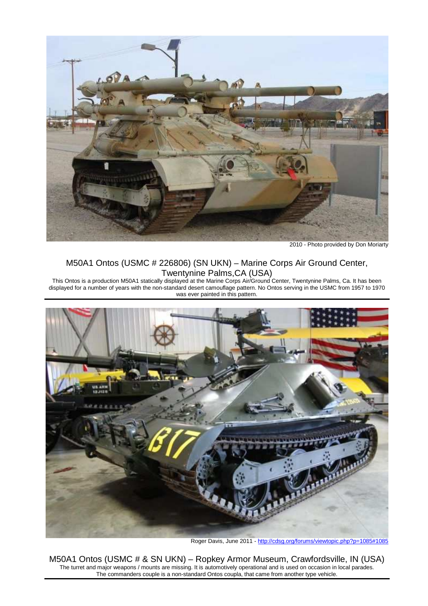

2010 - Photo provided by Don Moriarty

## M50A1 Ontos (USMC # 226806) (SN UKN) – Marine Corps Air Ground Center, Twentynine Palms,CA (USA)

This Ontos is a production M50A1 statically displayed at the Marine Corps Air/Ground Center, Twentynine Palms, Ca. It has been displayed for a number of years with the non-standard desert camouflage pattern. No Ontos serving in the USMC from 1957 to 1970 was ever painted in this pattern.



Roger Davis, June 2011 - http://cdsg.org/forums/viewtopic.php?p=1085#1085

M50A1 Ontos (USMC # & SN UKN) – Ropkey Armor Museum, Crawfordsville, IN (USA) The turret and major weapons / mounts are missing. It is automotively operational and is used on occasion in local parades. The commanders couple is a non-standard Ontos coupla, that came from another type vehicle.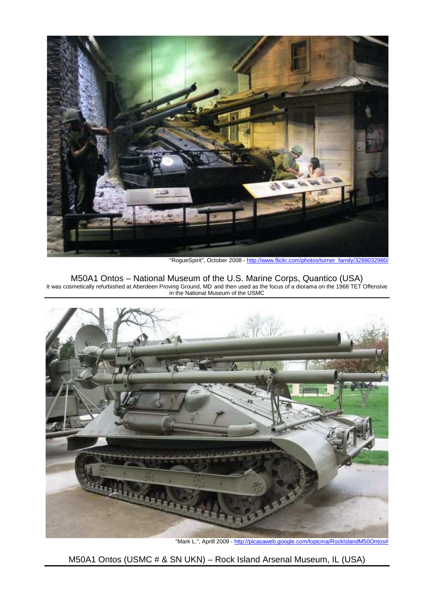

"RogueSpirit", October 2008 - http://www.flickr.com/photos/turner\_family/3288032980/

M50A1 Ontos – National Museum of the U.S. Marine Corps, Quantico (USA) It was cosmetically refurbished at Aberdeen Proving Ground, MD and then used as the focus of a diorama on the 1968 TET Offensive in the National Museum of the USMC



"Mark L.", Aprill 2009 - http://picasaweb.google.com/lopicma/RockIslandM50Ontos#

M50A1 Ontos (USMC # & SN UKN) – Rock Island Arsenal Museum, IL (USA)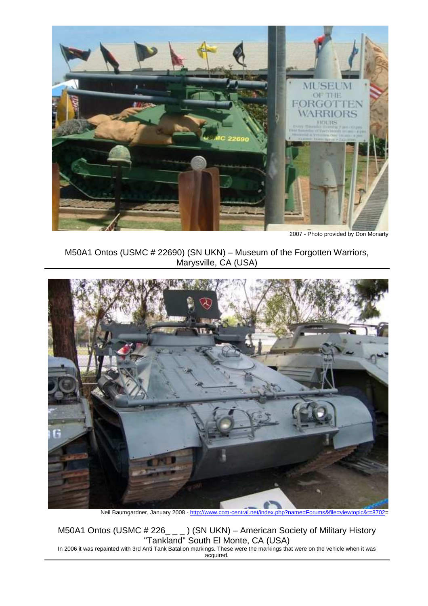

2007 - Photo provided by Don Moriarty

M50A1 Ontos (USMC # 22690) (SN UKN) – Museum of the Forgotten Warriors, Marysville, CA (USA)



Neil Baumgardner, January 2008 - http://www.com-central.net/index.php?name=Forums&file=viewtopic&t=8702

M50A1 Ontos (USMC # 226\_\_\_) (SN UKN) – American Society of Military History "Tankland" South El Monte, CA (USA)

In 2006 it was repainted with 3rd Anti Tank Batalion markings. These were the markings that were on the vehicle when it was acquired.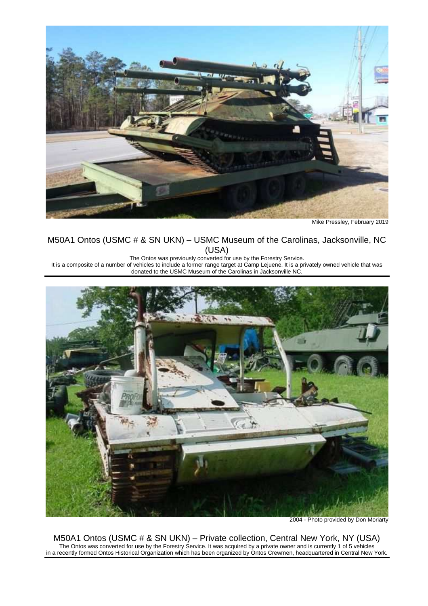

Mike Pressley, February 2019

#### M50A1 Ontos (USMC # & SN UKN) – USMC Museum of the Carolinas, Jacksonville, NC (USA)

The Ontos was previously converted for use by the Forestry Service.

It is a composite of a number of vehicles to include a former range target at Camp Lejuene. It is a privately owned vehicle that was donated to the USMC Museum of the Carolinas in Jacksonville NC.



2004 - Photo provided by Don Moriarty

M50A1 Ontos (USMC # & SN UKN) – Private collection, Central New York, NY (USA) The Ontos was converted for use by the Forestry Service. It was acquired by a private owner and is currently 1 of 5 vehicles in a recently formed Ontos Historical Organization which has been organized by Ontos Crewmen, headquartered in Central New York.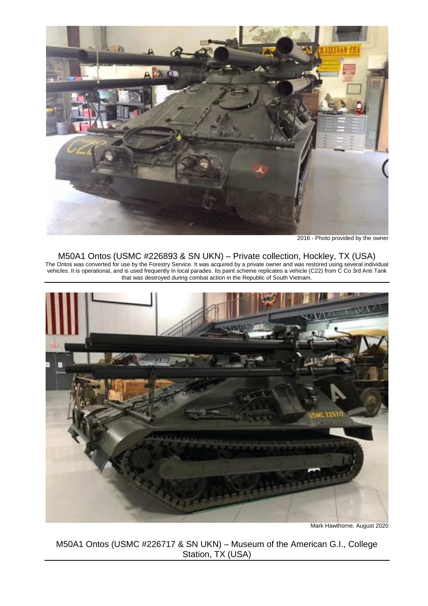

2016 - Photo provided by the owner

#### M50A1 Ontos (USMC #226893 & SN UKN) – Private collection, Hockley, TX (USA)

The Ontos was converted for use by the Forestry Service. It was acquired by a private owner and was restored using several individual vehicles. It is operational, and is used frequently in local parades. Its paint scheme replicates a vehicle (C22) from C Co 3rd Anti Tank that was destroyed during combat action in the Republic of South Vietnam.



Mark Hawthorne, August 2020

M50A1 Ontos (USMC #226717 & SN UKN) – Museum of the American G.I., College Station, TX (USA)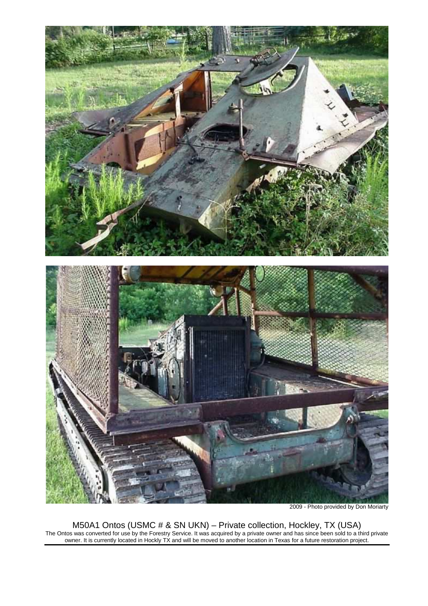

2009 - Photo provided by Don Moriarty

M50A1 Ontos (USMC # & SN UKN) – Private collection, Hockley, TX (USA) The Ontos was converted for use by the Forestry Service. It was acquired by a private owner and has since been sold to a third private owner. It is currently located in Hockly TX and will be moved to another location in Texas for a future restoration project.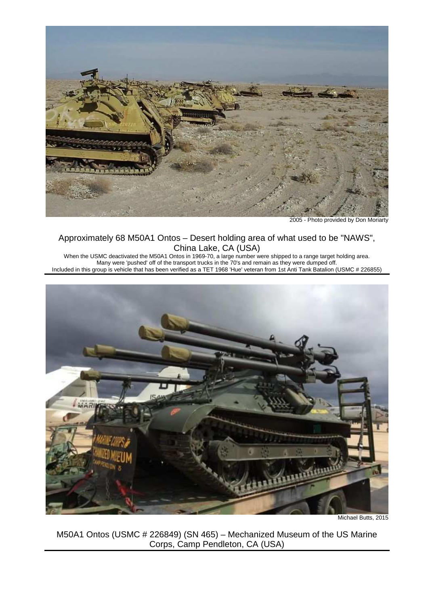

2005 - Photo provided by Don Moriarty

## Approximately 68 M50A1 Ontos – Desert holding area of what used to be "NAWS", China Lake, CA (USA)

When the USMC deactivated the M50A1 Ontos in 1969-70, a large number were shipped to a range target holding area. Many were 'pushed' off of the transport trucks in the 70's and remain as they were dumped off. Included in this group is vehicle that has been verified as a TET 1968 'Hue' veteran from 1st Anti Tank Batalion (USMC # 226855)



Michael Butts, 2015

M50A1 Ontos (USMC # 226849) (SN 465) – Mechanized Museum of the US Marine Corps, Camp Pendleton, CA (USA)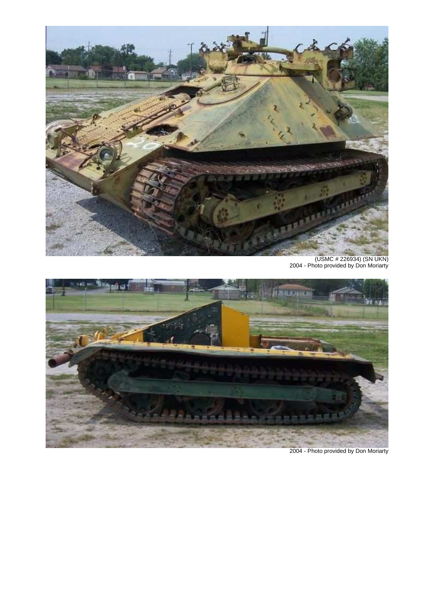

(USMC # 226934) (SN UKN) 2004 - Photo provided by Don Moriarty



2004 - Photo provided by Don Moriarty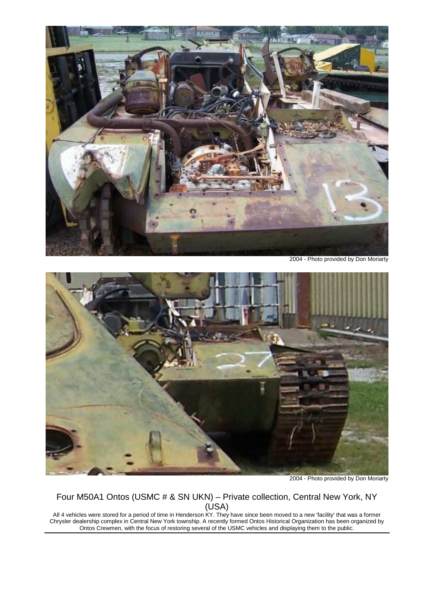

2004 - Photo provided by Don Moriarty



2004 - Photo provided by Don Moriarty

# Four M50A1 Ontos (USMC # & SN UKN) – Private collection, Central New York, NY (USA)

All 4 vehicles were stored for a period of time in Henderson KY. They have since been moved to a new 'facility' that was a former Chrysler dealership complex in Central New York township. A recently formed Ontos Historical Organization has been organized by Ontos Crewmen, with the focus of restoring several of the USMC vehicles and displaying them to the public.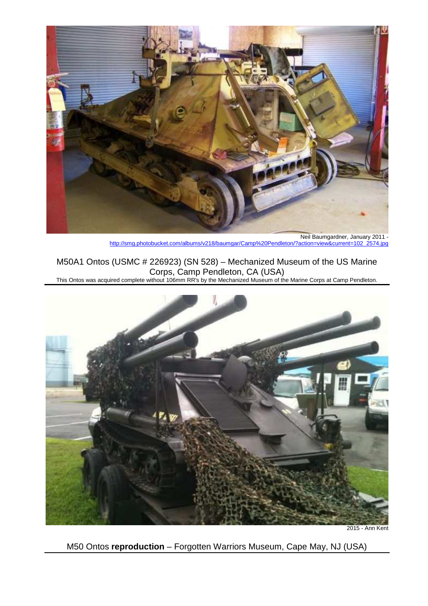

Neil Baumgardner, January 2011 http://smg.photobucket.com/albums/v218/baumgar/Camp%20Pendleton/?action=view&current=102\_2574.jpg

M50A1 Ontos (USMC # 226923) (SN 528) – Mechanized Museum of the US Marine Corps, Camp Pendleton, CA (USA)

This Ontos was acquired complete without 106mm RR's by the Mechanized Museum of the Marine Corps at Camp Pendleton.



2015 - Ann Kent

M50 Ontos **reproduction** – Forgotten Warriors Museum, Cape May, NJ (USA)